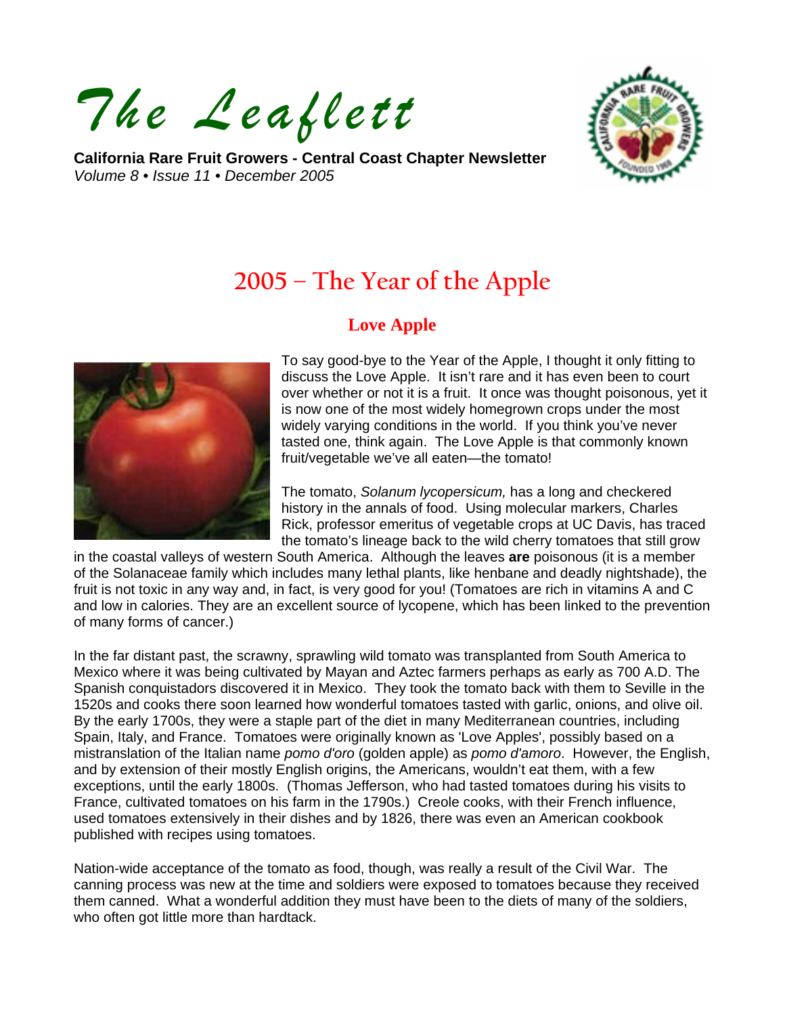*The Leaflett*

**California Rare Fruit Growers - Central Coast Chapter Newsletter**  *Volume 8 • Issue 11 • December 2005* 



# **2005 – The Year of the Apple**

# **Love Apple**



To say good-bye to the Year of the Apple, I thought it only fitting to discuss the Love Apple. It isn't rare and it has even been to court over whether or not it is a fruit. It once was thought poisonous, yet it is now one of the most widely homegrown crops under the most widely varying conditions in the world. If you think you've never tasted one, think again. The Love Apple is that commonly known fruit/vegetable we've all eaten—the tomato!

The tomato, *Solanum lycopersicum,* has a long and checkered history in the annals of food. Using molecular markers, Charles Rick, professor emeritus of vegetable crops at UC Davis, has traced the tomato's lineage back to the wild cherry tomatoes that still grow

in the coastal valleys of western South America. Although the leaves **are** poisonous (it is a member of the Solanaceae family which includes many lethal plants, like henbane and deadly nightshade), the fruit is not toxic in any way and, in fact, is very good for you! (Tomatoes are rich in vitamins A and C and low in calories. They are an excellent source of lycopene, which has been linked to the prevention of many forms of cancer.)

In the far distant past, the scrawny, sprawling wild tomato was transplanted from South America to Mexico where it was being cultivated by Mayan and Aztec farmers perhaps as early as 700 A.D. The Spanish conquistadors discovered it in Mexico. They took the tomato back with them to Seville in the 1520s and cooks there soon learned how wonderful tomatoes tasted with garlic, onions, and olive oil. By the early 1700s, they were a staple part of the diet in many Mediterranean countries, including Spain, Italy, and France. Tomatoes were originally known as 'Love Apples', possibly based on a mistranslation of the Italian name *pomo d'oro* (golden apple) as *pomo d'amoro*. However, the English, and by extension of their mostly English origins, the Americans, wouldn't eat them, with a few exceptions, until the early 1800s. (Thomas Jefferson, who had tasted tomatoes during his visits to France, cultivated tomatoes on his farm in the 1790s.) Creole cooks, with their French influence, used tomatoes extensively in their dishes and by 1826, there was even an American cookbook published with recipes using tomatoes.

Nation-wide acceptance of the tomato as food, though, was really a result of the Civil War. The canning process was new at the time and soldiers were exposed to tomatoes because they received them canned. What a wonderful addition they must have been to the diets of many of the soldiers, who often got little more than hardtack.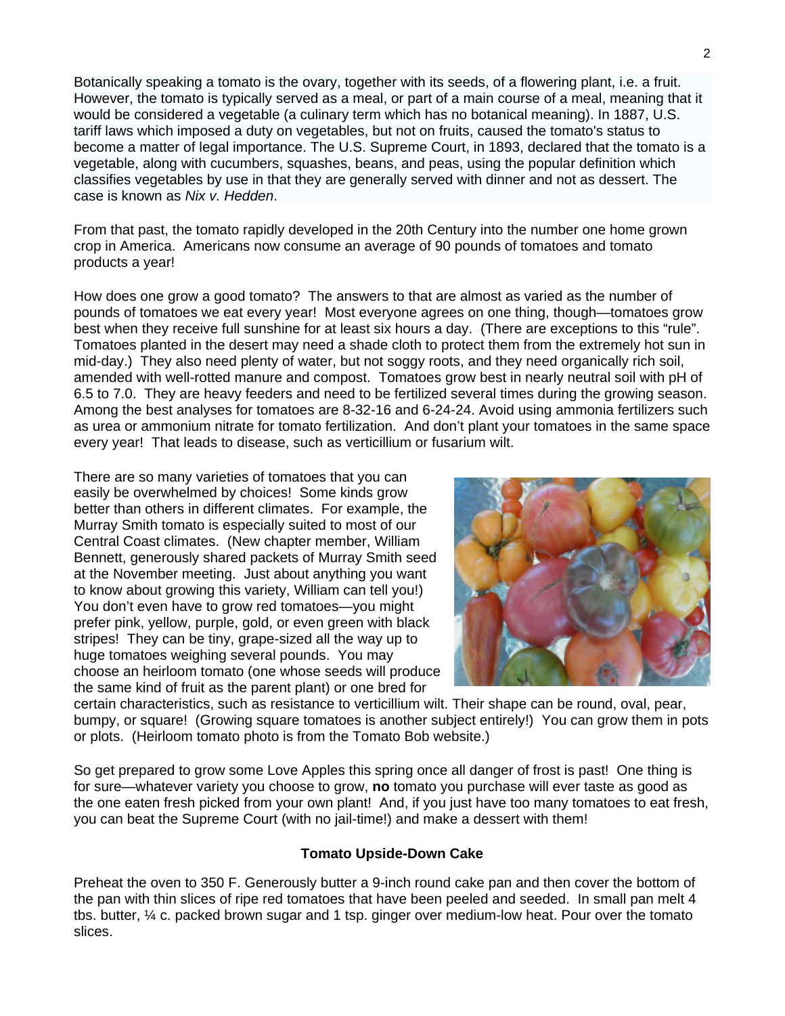Botanically speaking a tomato is the ovary, together with its seeds, of a flowering plant, i.e. a fruit. However, the tomato is typically served as a meal, or part of a main course of a meal, meaning that it would be considered a vegetable (a culinary term which has no botanical meaning). In 1887, U.S. tariff laws which imposed a duty on vegetables, but not on fruits, caused the tomato's status to become a matter of legal importance. The U.S. Supreme Court, in 1893, declared that the tomato is a vegetable, along with cucumbers, squashes, beans, and peas, using the popular definition which classifies vegetables by use in that they are generally served with dinner and not as dessert. The case is known as *Nix v. Hedden*.

From that past, the tomato rapidly developed in the 20th Century into the number one home grown crop in America. Americans now consume an average of 90 pounds of tomatoes and tomato products a year!

How does one grow a good tomato? The answers to that are almost as varied as the number of pounds of tomatoes we eat every year! Most everyone agrees on one thing, though—tomatoes grow best when they receive full sunshine for at least six hours a day. (There are exceptions to this "rule". Tomatoes planted in the desert may need a shade cloth to protect them from the extremely hot sun in mid-day.) They also need plenty of water, but not soggy roots, and they need organically rich soil, amended with well-rotted manure and compost. Tomatoes grow best in nearly neutral soil with pH of 6.5 to 7.0. They are heavy feeders and need to be fertilized several times during the growing season. Among the best analyses for tomatoes are 8-32-16 and 6-24-24. Avoid using ammonia fertilizers such as urea or ammonium nitrate for tomato fertilization. And don't plant your tomatoes in the same space every year! That leads to disease, such as verticillium or fusarium wilt.

There are so many varieties of tomatoes that you can easily be overwhelmed by choices! Some kinds grow better than others in different climates. For example, the Murray Smith tomato is especially suited to most of our Central Coast climates. (New chapter member, William Bennett, generously shared packets of Murray Smith seed at the November meeting. Just about anything you want to know about growing this variety, William can tell you!) You don't even have to grow red tomatoes—you might prefer pink, yellow, purple, gold, or even green with black stripes! They can be tiny, grape-sized all the way up to huge tomatoes weighing several pounds. You may choose an heirloom tomato (one whose seeds will produce the same kind of fruit as the parent plant) or one bred for



certain characteristics, such as resistance to verticillium wilt. Their shape can be round, oval, pear, bumpy, or square! (Growing square tomatoes is another subject entirely!) You can grow them in pots or plots. (Heirloom tomato photo is from the Tomato Bob website.)

So get prepared to grow some Love Apples this spring once all danger of frost is past! One thing is for sure—whatever variety you choose to grow, **no** tomato you purchase will ever taste as good as the one eaten fresh picked from your own plant! And, if you just have too many tomatoes to eat fresh, you can beat the Supreme Court (with no jail-time!) and make a dessert with them!

#### **Tomato Upside-Down Cake**

Preheat the oven to 350 F. Generously butter a 9-inch round cake pan and then cover the bottom of the pan with thin slices of ripe red tomatoes that have been peeled and seeded. In small pan melt 4 tbs. butter, ¼ c. packed brown sugar and 1 tsp. ginger over medium-low heat. Pour over the tomato slices.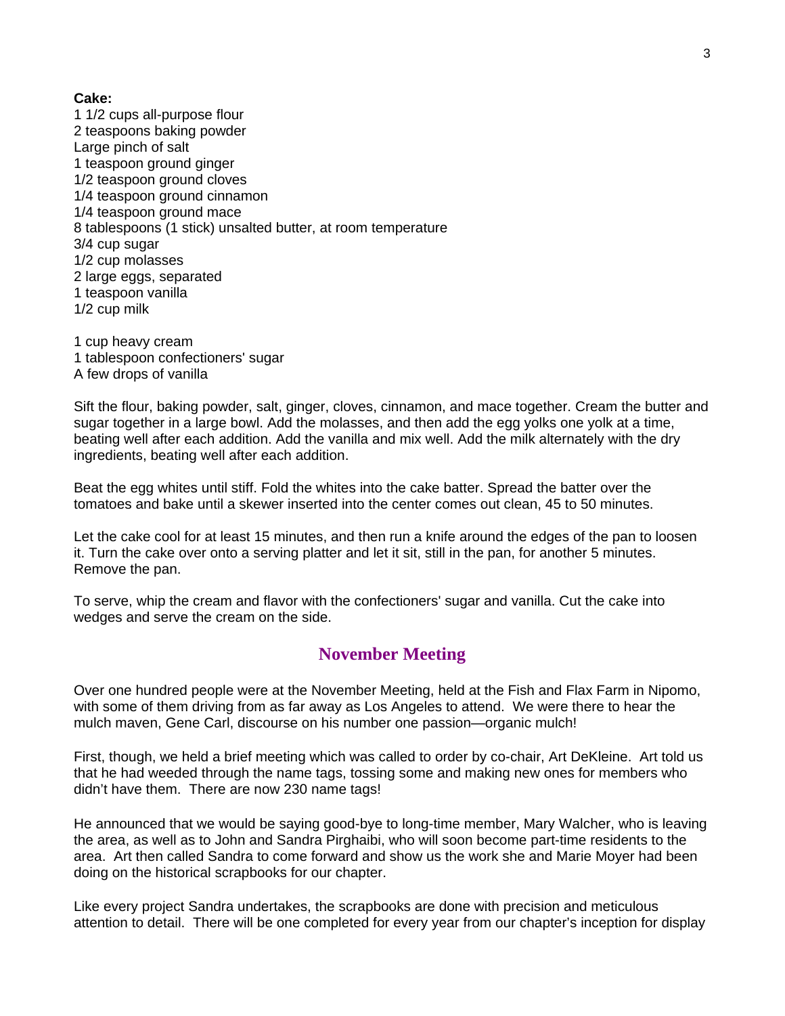**Cake:**

1 1/2 cups all-purpose flour 2 teaspoons baking powder Large pinch of salt 1 teaspoon ground ginger 1/2 teaspoon ground cloves 1/4 teaspoon ground cinnamon 1/4 teaspoon ground mace 8 tablespoons (1 stick) unsalted butter, at room temperature 3/4 cup sugar 1/2 cup molasses 2 large eggs, separated 1 teaspoon vanilla 1/2 cup milk

1 cup heavy cream 1 tablespoon confectioners' sugar A few drops of vanilla

Sift the flour, baking powder, salt, ginger, cloves, cinnamon, and mace together. Cream the butter and sugar together in a large bowl. Add the molasses, and then add the egg yolks one yolk at a time, beating well after each addition. Add the vanilla and mix well. Add the milk alternately with the dry ingredients, beating well after each addition.

Beat the egg whites until stiff. Fold the whites into the cake batter. Spread the batter over the tomatoes and bake until a skewer inserted into the center comes out clean, 45 to 50 minutes.

Let the cake cool for at least 15 minutes, and then run a knife around the edges of the pan to loosen it. Turn the cake over onto a serving platter and let it sit, still in the pan, for another 5 minutes. Remove the pan.

To serve, whip the cream and flavor with the confectioners' sugar and vanilla. Cut the cake into wedges and serve the cream on the side.

## **November Meeting**

Over one hundred people were at the November Meeting, held at the Fish and Flax Farm in Nipomo, with some of them driving from as far away as Los Angeles to attend. We were there to hear the mulch maven, Gene Carl, discourse on his number one passion—organic mulch!

First, though, we held a brief meeting which was called to order by co-chair, Art DeKleine. Art told us that he had weeded through the name tags, tossing some and making new ones for members who didn't have them. There are now 230 name tags!

He announced that we would be saying good-bye to long-time member, Mary Walcher, who is leaving the area, as well as to John and Sandra Pirghaibi, who will soon become part-time residents to the area. Art then called Sandra to come forward and show us the work she and Marie Moyer had been doing on the historical scrapbooks for our chapter.

Like every project Sandra undertakes, the scrapbooks are done with precision and meticulous attention to detail. There will be one completed for every year from our chapter's inception for display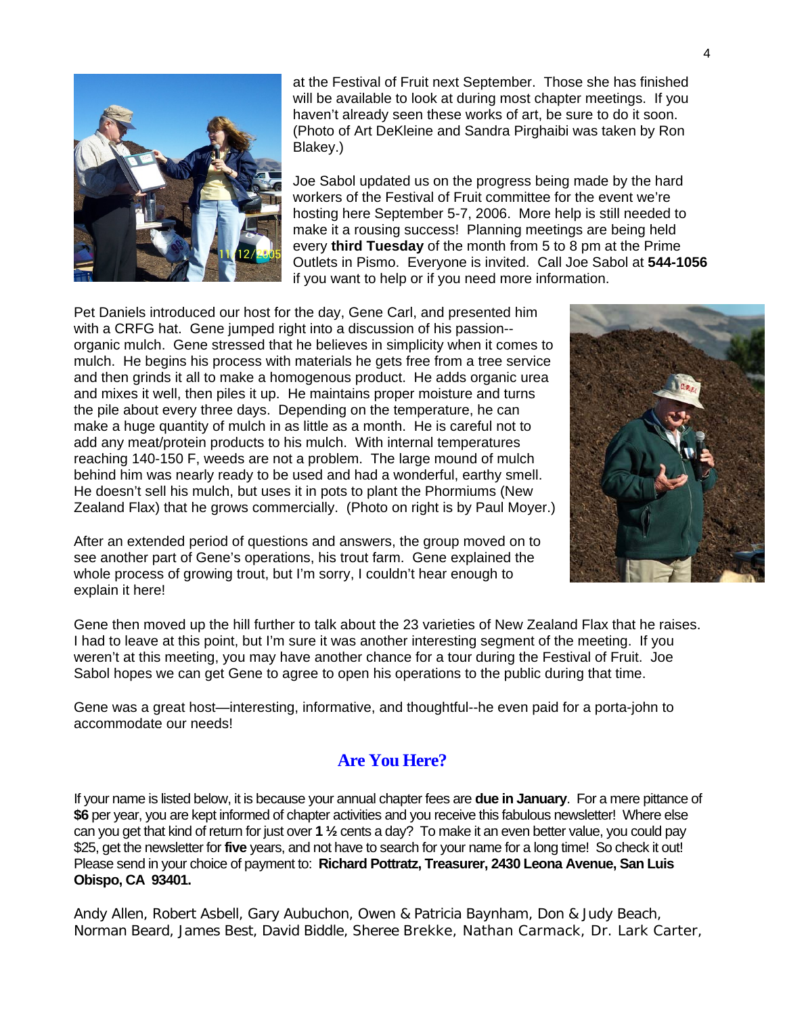

at the Festival of Fruit next September. Those she has finished will be available to look at during most chapter meetings. If you haven't already seen these works of art, be sure to do it soon. (Photo of Art DeKleine and Sandra Pirghaibi was taken by Ron Blakey.)

Joe Sabol updated us on the progress being made by the hard workers of the Festival of Fruit committee for the event we're hosting here September 5-7, 2006. More help is still needed to make it a rousing success! Planning meetings are being held every **third Tuesday** of the month from 5 to 8 pm at the Prime Outlets in Pismo. Everyone is invited. Call Joe Sabol at **544-1056**  if you want to help or if you need more information.

Pet Daniels introduced our host for the day, Gene Carl, and presented him with a CRFG hat. Gene jumped right into a discussion of his passion- organic mulch. Gene stressed that he believes in simplicity when it comes to mulch. He begins his process with materials he gets free from a tree service and then grinds it all to make a homogenous product. He adds organic urea and mixes it well, then piles it up. He maintains proper moisture and turns the pile about every three days. Depending on the temperature, he can make a huge quantity of mulch in as little as a month. He is careful not to add any meat/protein products to his mulch. With internal temperatures reaching 140-150 F, weeds are not a problem. The large mound of mulch behind him was nearly ready to be used and had a wonderful, earthy smell. He doesn't sell his mulch, but uses it in pots to plant the Phormiums (New Zealand Flax) that he grows commercially. (Photo on right is by Paul Moyer.)

After an extended period of questions and answers, the group moved on to see another part of Gene's operations, his trout farm. Gene explained the whole process of growing trout, but I'm sorry, I couldn't hear enough to explain it here!

Gene then moved up the hill further to talk about the 23 varieties of New Zealand Flax that he raises. I had to leave at this point, but I'm sure it was another interesting segment of the meeting. If you weren't at this meeting, you may have another chance for a tour during the Festival of Fruit. Joe Sabol hopes we can get Gene to agree to open his operations to the public during that time.

Gene was a great host—interesting, informative, and thoughtful--he even paid for a porta-john to accommodate our needs!

# **Are You Here?**

If your name is listed below, it is because your annual chapter fees are **due in January**. For a mere pittance of **\$6** per year, you are kept informed of chapter activities and you receive this fabulous newsletter! Where else can you get that kind of return for just over **1 ½** cents a day? To make it an even better value, you could pay \$25, get the newsletter for **five** years, and not have to search for your name for a long time! So check it out! Please send in your choice of payment to: **Richard Pottratz, Treasurer, 2430 Leona Avenue, San Luis Obispo, CA 93401.**

Andy Allen, Robert Asbell, Gary Aubuchon, Owen & Patricia Baynham, Don & Judy Beach, Norman Beard, James Best, David Biddle, Sheree Brekke, Nathan Carmack, Dr. Lark Carter,

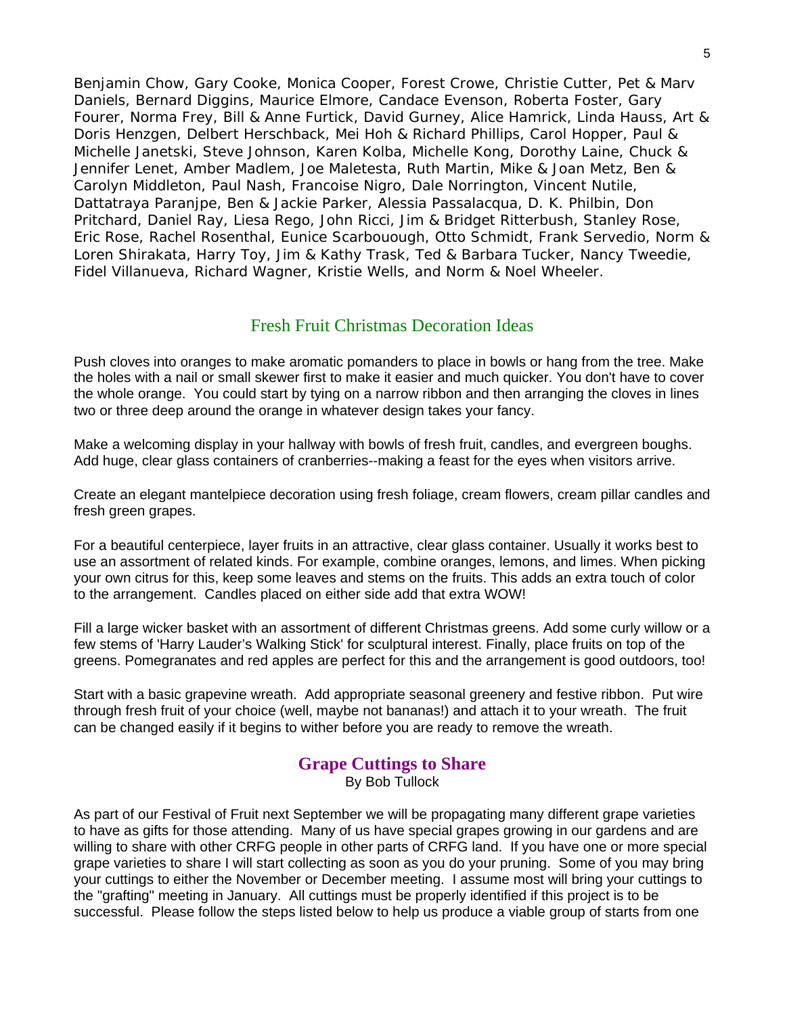Benjamin Chow, Gary Cooke, Monica Cooper, Forest Crowe, Christie Cutter, Pet & Marv Daniels, Bernard Diggins, Maurice Elmore, Candace Evenson, Roberta Foster, Gary Fourer, Norma Frey, Bill & Anne Furtick, David Gurney, Alice Hamrick, Linda Hauss, Art & Doris Henzgen, Delbert Herschback, Mei Hoh & Richard Phillips, Carol Hopper, Paul & Michelle Janetski, Steve Johnson, Karen Kolba, Michelle Kong, Dorothy Laine, Chuck & Jennifer Lenet, Amber Madlem, Joe Maletesta, Ruth Martin, Mike & Joan Metz, Ben & Carolyn Middleton, Paul Nash, Francoise Nigro, Dale Norrington, Vincent Nutile, Dattatraya Paranjpe, Ben & Jackie Parker, Alessia Passalacqua, D. K. Philbin, Don Pritchard, Daniel Ray, Liesa Rego, John Ricci, Jim & Bridget Ritterbush, Stanley Rose, Eric Rose, Rachel Rosenthal, Eunice Scarbouough, Otto Schmidt, Frank Servedio, Norm & Loren Shirakata, Harry Toy, Jim & Kathy Trask, Ted & Barbara Tucker, Nancy Tweedie, Fidel Villanueva, Richard Wagner, Kristie Wells, and Norm & Noel Wheeler.

### Fresh Fruit Christmas Decoration Ideas

Push cloves into oranges to make aromatic pomanders to place in bowls or hang from the tree. Make the holes with a nail or small skewer first to make it easier and much quicker. You don't have to cover the whole orange. You could start by tying on a narrow ribbon and then arranging the cloves in lines two or three deep around the orange in whatever design takes your fancy.

Make a welcoming display in your hallway with bowls of fresh fruit, candles, and evergreen boughs. Add huge, clear glass containers of cranberries--making a feast for the eyes when visitors arrive.

Create an elegant mantelpiece decoration using fresh foliage, cream flowers, cream pillar candles and fresh green grapes.

For a beautiful centerpiece, layer fruits in an attractive, clear glass container. Usually it works best to use an assortment of related kinds. For example, combine oranges, lemons, and limes. When picking your own citrus for this, keep some leaves and stems on the fruits. This adds an extra touch of color to the arrangement. Candles placed on either side add that extra WOW!

Fill a large wicker basket with an assortment of different Christmas greens. Add some curly willow or a few stems of 'Harry Lauder's Walking Stick' for sculptural interest. Finally, place fruits on top of the greens. Pomegranates and red apples are perfect for this and the arrangement is good outdoors, too!

Start with a basic grapevine wreath. Add appropriate seasonal greenery and festive ribbon. Put wire through fresh fruit of your choice (well, maybe not bananas!) and attach it to your wreath. The fruit can be changed easily if it begins to wither before you are ready to remove the wreath.

### **Grape Cuttings to Share**

By Bob Tullock

As part of our Festival of Fruit next September we will be propagating many different grape varieties to have as gifts for those attending. Many of us have special grapes growing in our gardens and are willing to share with other CRFG people in other parts of CRFG land. If you have one or more special grape varieties to share I will start collecting as soon as you do your pruning. Some of you may bring your cuttings to either the November or December meeting. I assume most will bring your cuttings to the "grafting" meeting in January. All cuttings must be properly identified if this project is to be successful. Please follow the steps listed below to help us produce a viable group of starts from one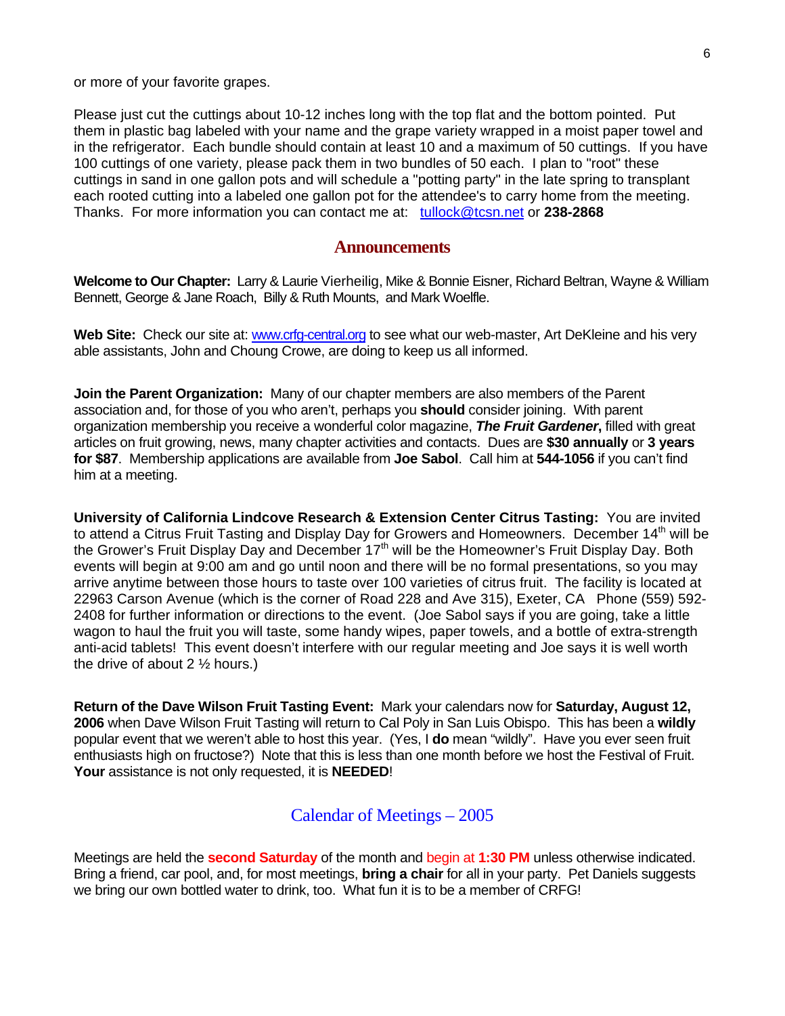or more of your favorite grapes.

Please just cut the cuttings about 10-12 inches long with the top flat and the bottom pointed. Put them in plastic bag labeled with your name and the grape variety wrapped in a moist paper towel and in the refrigerator. Each bundle should contain at least 10 and a maximum of 50 cuttings. If you have 100 cuttings of one variety, please pack them in two bundles of 50 each. I plan to "root" these cuttings in sand in one gallon pots and will schedule a "potting party" in the late spring to transplant each rooted cutting into a labeled one gallon pot for the attendee's to carry home from the meeting. Thanks. For more information you can contact me at: [tullock@tcsn.net](mailto:tullock@tcsn.net) or **238-2868**

#### **Announcements**

**Welcome to Our Chapter:** Larry & Laurie Vierheilig, Mike & Bonnie Eisner, Richard Beltran, Wayne & William Bennett, George & Jane Roach, Billy & Ruth Mounts, and Mark Woelfle.

Web Site: Check our site at: [www.crfg-central.org](http://www.crfg-central.org/) to see what our web-master, Art DeKleine and his very able assistants, John and Choung Crowe, are doing to keep us all informed.

**Join the Parent Organization:** Many of our chapter members are also members of the Parent association and, for those of you who aren't, perhaps you **should** consider joining. With parent organization membership you receive a wonderful color magazine, *The Fruit Gardener***,** filled with great articles on fruit growing, news, many chapter activities and contacts. Dues are **\$30 annually** or **3 years for \$87**. Membership applications are available from **Joe Sabol**. Call him at **544-1056** if you can't find him at a meeting.

**University of California Lindcove Research & Extension Center Citrus Tasting:** You are invited to attend a Citrus Fruit Tasting and Display Day for Growers and Homeowners. December 14<sup>th</sup> will be the Grower's Fruit Display Day and December 17<sup>th</sup> will be the Homeowner's Fruit Display Day. Both events will begin at 9:00 am and go until noon and there will be no formal presentations, so you may arrive anytime between those hours to taste over 100 varieties of citrus fruit. The facility is located at 22963 Carson Avenue (which is the corner of Road 228 and Ave 315), Exeter, CA Phone (559) 592- 2408 for further information or directions to the event. (Joe Sabol says if you are going, take a little wagon to haul the fruit you will taste, some handy wipes, paper towels, and a bottle of extra-strength anti-acid tablets! This event doesn't interfere with our regular meeting and Joe says it is well worth the drive of about  $2 \frac{1}{2}$  hours.)

**Return of the Dave Wilson Fruit Tasting Event:** Mark your calendars now for **Saturday, August 12, 2006** when Dave Wilson Fruit Tasting will return to Cal Poly in San Luis Obispo. This has been a **wildly** popular event that we weren't able to host this year. (Yes, I **do** mean "wildly". Have you ever seen fruit enthusiasts high on fructose?) Note that this is less than one month before we host the Festival of Fruit. **Your** assistance is not only requested, it is **NEEDED**!

#### Calendar of Meetings – 2005

Meetings are held the **second Saturday** of the month and begin at **1:30 PM** unless otherwise indicated. Bring a friend, car pool, and, for most meetings, **bring a chair** for all in your party. Pet Daniels suggests we bring our own bottled water to drink, too. What fun it is to be a member of CRFG!